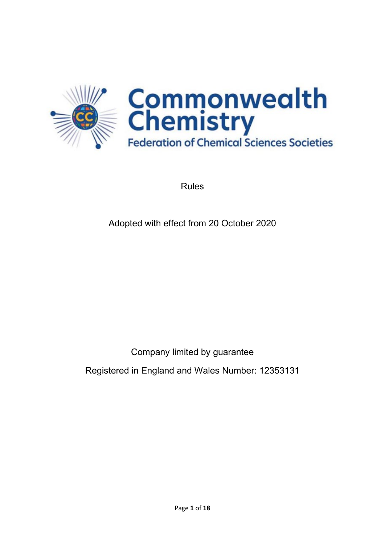

Rules

Adopted with effect from 20 October 2020

Company limited by guarantee

Registered in England and Wales Number: 12353131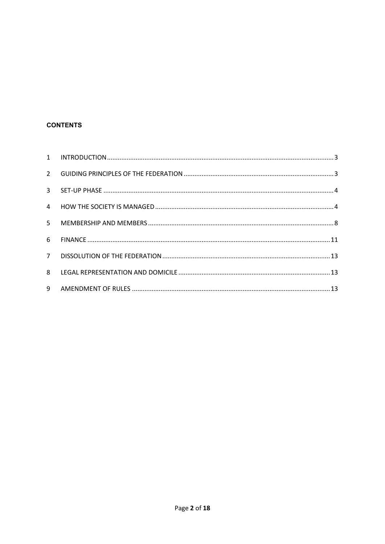# **CONTENTS**

| 9 |  |
|---|--|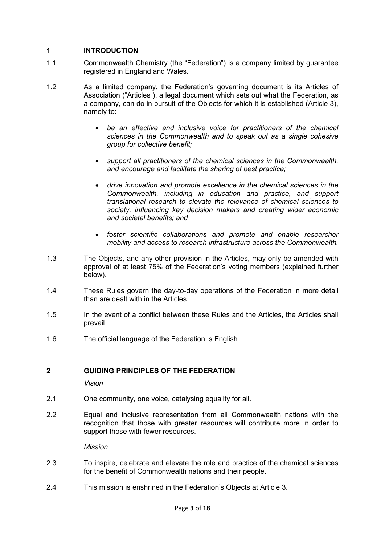# <span id="page-2-0"></span>**1 INTRODUCTION**

- 1.1 Commonwealth Chemistry (the "Federation") is a company limited by guarantee registered in England and Wales.
- 1.2 As a limited company, the Federation's governing document is its Articles of Association ("Articles"), a legal document which sets out what the Federation, as a company, can do in pursuit of the Objects for which it is established (Article 3), namely to:
	- *be an effective and inclusive voice for practitioners of the chemical sciences in the Commonwealth and to speak out as a single cohesive group for collective benefit;*
	- *support all practitioners of the chemical sciences in the Commonwealth, and encourage and facilitate the sharing of best practice;*
	- *drive innovation and promote excellence in the chemical sciences in the Commonwealth, including in education and practice, and support translational research to elevate the relevance of chemical sciences to society, influencing key decision makers and creating wider economic and societal benefits; and*
	- *foster scientific collaborations and promote and enable researcher mobility and access to research infrastructure across the Commonwealth.*
- 1.3 The Objects, and any other provision in the Articles, may only be amended with approval of at least 75% of the Federation's voting members (explained further below).
- 1.4 These Rules govern the day-to-day operations of the Federation in more detail than are dealt with in the Articles.
- 1.5 In the event of a conflict between these Rules and the Articles, the Articles shall prevail.
- 1.6 The official language of the Federation is English.

# <span id="page-2-1"></span>**2 GUIDING PRINCIPLES OF THE FEDERATION**

*Vision*

- 2.1 One community, one voice, catalysing equality for all.
- 2.2 Equal and inclusive representation from all Commonwealth nations with the recognition that those with greater resources will contribute more in order to support those with fewer resources.

*Mission* 

- 2.3 To inspire, celebrate and elevate the role and practice of the chemical sciences for the benefit of Commonwealth nations and their people.
- 2.4 This mission is enshrined in the Federation's Objects at Article 3.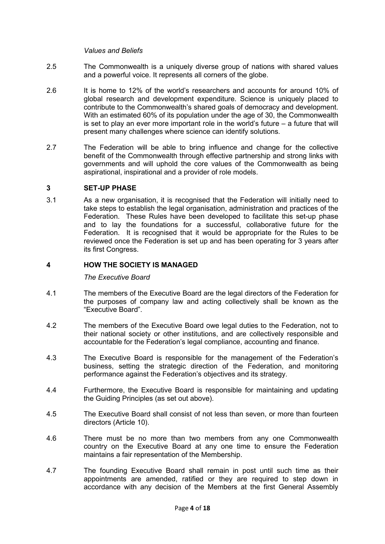#### *Values and Beliefs*

- 2.5 The Commonwealth is a uniquely diverse group of nations with shared values and a powerful voice. It represents all corners of the globe.
- 2.6 It is home to 12% of the world's researchers and accounts for around 10% of global research and development expenditure. Science is uniquely placed to contribute to the Commonwealth's shared goals of democracy and development. With an estimated 60% of its population under the age of 30, the Commonwealth is set to play an ever more important role in the world's future – a future that will present many challenges where science can identify solutions.
- 2.7 The Federation will be able to bring influence and change for the collective benefit of the Commonwealth through effective partnership and strong links with governments and will uphold the core values of the Commonwealth as being aspirational, inspirational and a provider of role models.

#### <span id="page-3-0"></span>**3 SET-UP PHASE**

3.1 As a new organisation, it is recognised that the Federation will initially need to take steps to establish the legal organisation, administration and practices of the Federation. These Rules have been developed to facilitate this set-up phase and to lay the foundations for a successful, collaborative future for the Federation. It is recognised that it would be appropriate for the Rules to be reviewed once the Federation is set up and has been operating for 3 years after its first Congress.

# <span id="page-3-1"></span>**4 HOW THE SOCIETY IS MANAGED**

*The Executive Board*

- 4.1 The members of the Executive Board are the legal directors of the Federation for the purposes of company law and acting collectively shall be known as the "Executive Board".
- 4.2 The members of the Executive Board owe legal duties to the Federation, not to their national society or other institutions, and are collectively responsible and accountable for the Federation's legal compliance, accounting and finance.
- 4.3 The Executive Board is responsible for the management of the Federation's business, setting the strategic direction of the Federation, and monitoring performance against the Federation's objectives and its strategy.
- 4.4 Furthermore, the Executive Board is responsible for maintaining and updating the Guiding Principles (as set out above).
- 4.5 The Executive Board shall consist of not less than seven, or more than fourteen directors (Article 10).
- 4.6 There must be no more than two members from any one Commonwealth country on the Executive Board at any one time to ensure the Federation maintains a fair representation of the Membership.
- 4.7 The founding Executive Board shall remain in post until such time as their appointments are amended, ratified or they are required to step down in accordance with any decision of the Members at the first General Assembly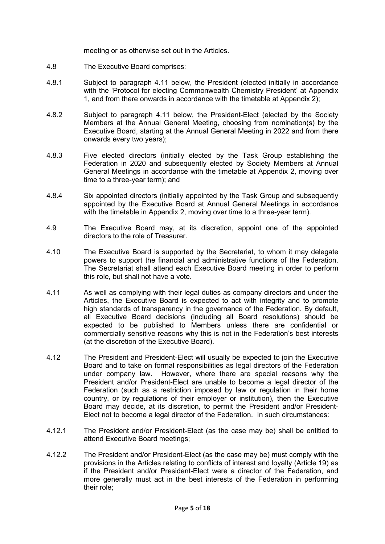meeting or as otherwise set out in the Articles.

- 4.8 The Executive Board comprises:
- 4.8.1 Subject to paragraph [4.11](#page-4-0) below, the President (elected initially in accordance with the 'Protocol for electing Commonwealth Chemistry President' at Appendix 1, and from there onwards in accordance with the timetable at Appendix 2);
- 4.8.2 Subject to paragraph [4.11](#page-4-0) below, the President-Elect (elected by the Society Members at the Annual General Meeting, choosing from nomination(s) by the Executive Board, starting at the Annual General Meeting in 2022 and from there onwards every two years);
- 4.8.3 Five elected directors (initially elected by the Task Group establishing the Federation in 2020 and subsequently elected by Society Members at Annual General Meetings in accordance with the timetable at Appendix 2, moving over time to a three-year term); and
- 4.8.4 Six appointed directors (initially appointed by the Task Group and subsequently appointed by the Executive Board at Annual General Meetings in accordance with the timetable in Appendix 2, moving over time to a three-year term).
- 4.9 The Executive Board may, at its discretion, appoint one of the appointed directors to the role of Treasurer.
- 4.10 The Executive Board is supported by the Secretariat, to whom it may delegate powers to support the financial and administrative functions of the Federation. The Secretariat shall attend each Executive Board meeting in order to perform this role, but shall not have a vote.
- 4.11 As well as complying with their legal duties as company directors and under the Articles, the Executive Board is expected to act with integrity and to promote high standards of transparency in the governance of the Federation. By default, all Executive Board decisions (including all Board resolutions) should be expected to be published to Members unless there are confidential or commercially sensitive reasons why this is not in the Federation's best interests (at the discretion of the Executive Board).
- <span id="page-4-0"></span>4.12 The President and President-Elect will usually be expected to join the Executive Board and to take on formal responsibilities as legal directors of the Federation under company law. However, where there are special reasons why the President and/or President-Elect are unable to become a legal director of the Federation (such as a restriction imposed by law or regulation in their home country, or by regulations of their employer or institution), then the Executive Board may decide, at its discretion, to permit the President and/or President-Elect not to become a legal director of the Federation. In such circumstances:
- 4.12.1 The President and/or President-Elect (as the case may be) shall be entitled to attend Executive Board meetings;
- 4.12.2 The President and/or President-Elect (as the case may be) must comply with the provisions in the Articles relating to conflicts of interest and loyalty (Article 19) as if the President and/or President-Elect were a director of the Federation, and more generally must act in the best interests of the Federation in performing their role;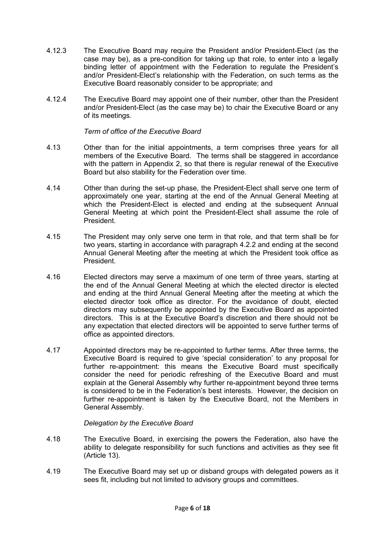- 4.12.3 The Executive Board may require the President and/or President-Elect (as the case may be), as a pre-condition for taking up that role, to enter into a legally binding letter of appointment with the Federation to regulate the President's and/or President-Elect's relationship with the Federation, on such terms as the Executive Board reasonably consider to be appropriate; and
- 4.12.4 The Executive Board may appoint one of their number, other than the President and/or President-Elect (as the case may be) to chair the Executive Board or any of its meetings.

# *Term of office of the Executive Board*

- 4.13 Other than for the initial appointments, a term comprises three years for all members of the Executive Board. The terms shall be staggered in accordance with the pattern in Appendix 2, so that there is regular renewal of the Executive Board but also stability for the Federation over time.
- <span id="page-5-0"></span>4.14 Other than during the set-up phase, the President-Elect shall serve one term of approximately one year, starting at the end of the Annual General Meeting at which the President-Elect is elected and ending at the subsequent Annual General Meeting at which point the President-Elect shall assume the role of President.
- 4.15 The President may only serve one term in that role, and that term shall be for two years, starting in accordance with paragraph [4.2.2](#page-5-0) and ending at the second Annual General Meeting after the meeting at which the President took office as President.
- 4.16 Elected directors may serve a maximum of one term of three years, starting at the end of the Annual General Meeting at which the elected director is elected and ending at the third Annual General Meeting after the meeting at which the elected director took office as director. For the avoidance of doubt, elected directors may subsequently be appointed by the Executive Board as appointed directors. This is at the Executive Board's discretion and there should not be any expectation that elected directors will be appointed to serve further terms of office as appointed directors.
- 4.17 Appointed directors may be re-appointed to further terms. After three terms, the Executive Board is required to give 'special consideration' to any proposal for further re-appointment: this means the Executive Board must specifically consider the need for periodic refreshing of the Executive Board and must explain at the General Assembly why further re-appointment beyond three terms is considered to be in the Federation's best interests. However, the decision on further re-appointment is taken by the Executive Board, not the Members in General Assembly.

# *Delegation by the Executive Board*

- 4.18 The Executive Board, in exercising the powers the Federation, also have the ability to delegate responsibility for such functions and activities as they see fit (Article 13).
- 4.19 The Executive Board may set up or disband groups with delegated powers as it sees fit, including but not limited to advisory groups and committees.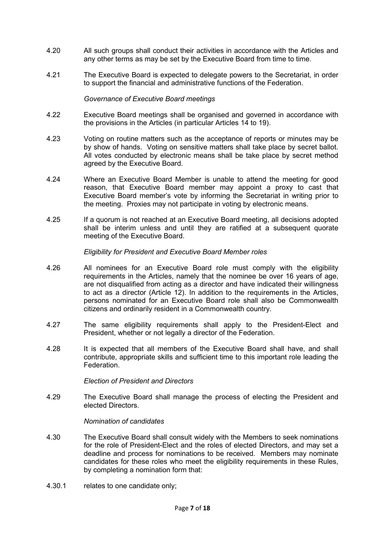- 4.20 All such groups shall conduct their activities in accordance with the Articles and any other terms as may be set by the Executive Board from time to time.
- 4.21 The Executive Board is expected to delegate powers to the Secretariat, in order to support the financial and administrative functions of the Federation.

#### *Governance of Executive Board meetings*

- 4.22 Executive Board meetings shall be organised and governed in accordance with the provisions in the Articles (in particular Articles 14 to 19).
- 4.23 Voting on routine matters such as the acceptance of reports or minutes may be by show of hands. Voting on sensitive matters shall take place by secret ballot. All votes conducted by electronic means shall be take place by secret method agreed by the Executive Board.
- 4.24 Where an Executive Board Member is unable to attend the meeting for good reason, that Executive Board member may appoint a proxy to cast that Executive Board member's vote by informing the Secretariat in writing prior to the meeting. Proxies may not participate in voting by electronic means.
- 4.25 If a quorum is not reached at an Executive Board meeting, all decisions adopted shall be interim unless and until they are ratified at a subsequent quorate meeting of the Executive Board.

#### *Eligibility for President and Executive Board Member roles*

- 4.26 All nominees for an Executive Board role must comply with the eligibility requirements in the Articles, namely that the nominee be over 16 years of age, are not disqualified from acting as a director and have indicated their willingness to act as a director (Article 12). In addition to the requirements in the Articles, persons nominated for an Executive Board role shall also be Commonwealth citizens and ordinarily resident in a Commonwealth country.
- 4.27 The same eligibility requirements shall apply to the President-Elect and President, whether or not legally a director of the Federation.
- 4.28 It is expected that all members of the Executive Board shall have, and shall contribute, appropriate skills and sufficient time to this important role leading the **Federation**

*Election of President and Directors*

4.29 The Executive Board shall manage the process of electing the President and elected Directors.

#### *Nomination of candidates*

- 4.30 The Executive Board shall consult widely with the Members to seek nominations for the role of President-Elect and the roles of elected Directors, and may set a deadline and process for nominations to be received. Members may nominate candidates for these roles who meet the eligibility requirements in these Rules, by completing a nomination form that:
- 4.30.1 relates to one candidate only;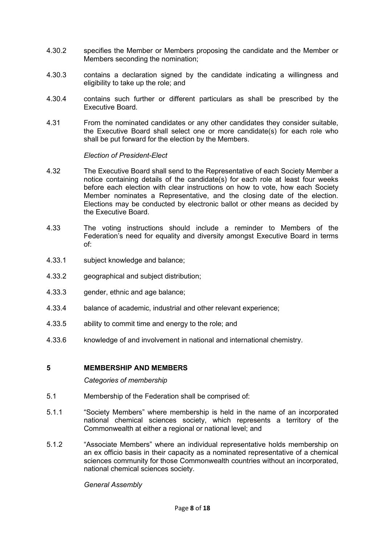- 4.30.2 specifies the Member or Members proposing the candidate and the Member or Members seconding the nomination;
- 4.30.3 contains a declaration signed by the candidate indicating a willingness and eligibility to take up the role; and
- 4.30.4 contains such further or different particulars as shall be prescribed by the Executive Board.
- 4.31 From the nominated candidates or any other candidates they consider suitable, the Executive Board shall select one or more candidate(s) for each role who shall be put forward for the election by the Members.

*Election of President-Elect*

- 4.32 The Executive Board shall send to the Representative of each Society Member a notice containing details of the candidate(s) for each role at least four weeks before each election with clear instructions on how to vote, how each Society Member nominates a Representative, and the closing date of the election. Elections may be conducted by electronic ballot or other means as decided by the Executive Board.
- 4.33 The voting instructions should include a reminder to Members of the Federation's need for equality and diversity amongst Executive Board in terms of:
- 4.33.1 subject knowledge and balance;
- 4.33.2 geographical and subject distribution;
- 4.33.3 gender, ethnic and age balance;
- 4.33.4 balance of academic, industrial and other relevant experience;
- 4.33.5 ability to commit time and energy to the role; and
- 4.33.6 knowledge of and involvement in national and international chemistry.

# <span id="page-7-0"></span>**5 MEMBERSHIP AND MEMBERS**

*Categories of membership*

- 5.1 Membership of the Federation shall be comprised of:
- 5.1.1 "Society Members" where membership is held in the name of an incorporated national chemical sciences society, which represents a territory of the Commonwealth at either a regional or national level; and
- 5.1.2 "Associate Members" where an individual representative holds membership on an ex officio basis in their capacity as a nominated representative of a chemical sciences community for those Commonwealth countries without an incorporated, national chemical sciences society.

*General Assembly*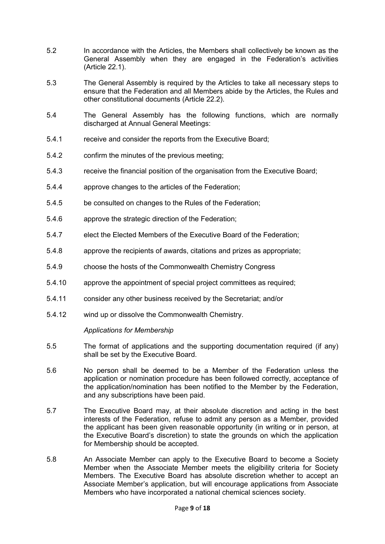- 5.2 In accordance with the Articles, the Members shall collectively be known as the General Assembly when they are engaged in the Federation's activities (Article 22.1).
- 5.3 The General Assembly is required by the Articles to take all necessary steps to ensure that the Federation and all Members abide by the Articles, the Rules and other constitutional documents (Article 22.2).
- 5.4 The General Assembly has the following functions, which are normally discharged at Annual General Meetings:
- 5.4.1 receive and consider the reports from the Executive Board;
- 5.4.2 confirm the minutes of the previous meeting;
- 5.4.3 receive the financial position of the organisation from the Executive Board;
- 5.4.4 approve changes to the articles of the Federation;
- 5.4.5 be consulted on changes to the Rules of the Federation;
- 5.4.6 approve the strategic direction of the Federation;
- 5.4.7 elect the Elected Members of the Executive Board of the Federation;
- 5.4.8 approve the recipients of awards, citations and prizes as appropriate;
- 5.4.9 choose the hosts of the Commonwealth Chemistry Congress
- 5.4.10 approve the appointment of special project committees as required;
- 5.4.11 consider any other business received by the Secretariat; and/or
- 5.4.12 wind up or dissolve the Commonwealth Chemistry.

# *Applications for Membership*

- 5.5 The format of applications and the supporting documentation required (if any) shall be set by the Executive Board.
- 5.6 No person shall be deemed to be a Member of the Federation unless the application or nomination procedure has been followed correctly, acceptance of the application/nomination has been notified to the Member by the Federation, and any subscriptions have been paid.
- 5.7 The Executive Board may, at their absolute discretion and acting in the best interests of the Federation, refuse to admit any person as a Member, provided the applicant has been given reasonable opportunity (in writing or in person, at the Executive Board's discretion) to state the grounds on which the application for Membership should be accepted.
- 5.8 An Associate Member can apply to the Executive Board to become a Society Member when the Associate Member meets the eligibility criteria for Society Members. The Executive Board has absolute discretion whether to accept an Associate Member's application, but will encourage applications from Associate Members who have incorporated a national chemical sciences society.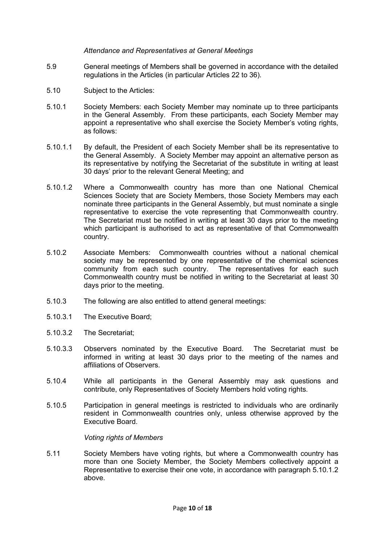#### *Attendance and Representatives at General Meetings*

- 5.9 General meetings of Members shall be governed in accordance with the detailed regulations in the Articles (in particular Articles 22 to 36).
- 5.10 Subject to the Articles:
- 5.10.1 Society Members: each Society Member may nominate up to three participants in the General Assembly. From these participants, each Society Member may appoint a representative who shall exercise the Society Member's voting rights, as follows:
- 5.10.1.1 By default, the President of each Society Member shall be its representative to the General Assembly. A Society Member may appoint an alternative person as its representative by notifying the Secretariat of the substitute in writing at least 30 days' prior to the relevant General Meeting; and
- <span id="page-9-0"></span>5.10.1.2 Where a Commonwealth country has more than one National Chemical Sciences Society that are Society Members, those Society Members may each nominate three participants in the General Assembly, but must nominate a single representative to exercise the vote representing that Commonwealth country. The Secretariat must be notified in writing at least 30 days prior to the meeting which participant is authorised to act as representative of that Commonwealth country.
- 5.10.2 Associate Members: Commonwealth countries without a national chemical society may be represented by one representative of the chemical sciences community from each such country. The representatives for each such Commonwealth country must be notified in writing to the Secretariat at least 30 days prior to the meeting.
- 5.10.3 The following are also entitled to attend general meetings:
- 5.10.3.1 The Executive Board;
- 5.10.3.2 The Secretariat;
- 5.10.3.3 Observers nominated by the Executive Board. The Secretariat must be informed in writing at least 30 days prior to the meeting of the names and affiliations of Observers.
- 5.10.4 While all participants in the General Assembly may ask questions and contribute, only Representatives of Society Members hold voting rights.
- 5.10.5 Participation in general meetings is restricted to individuals who are ordinarily resident in Commonwealth countries only, unless otherwise approved by the Executive Board.

*Voting rights of Members* 

5.11 Society Members have voting rights, but where a Commonwealth country has more than one Society Member, the Society Members collectively appoint a Representative to exercise their one vote, in accordance with paragraph [5.10.1.2](#page-9-0) above.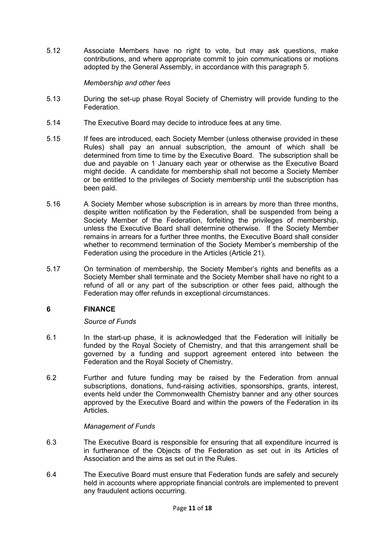5.12 Associate Members have no right to vote, but may ask questions, make contributions, and where appropriate commit to join communications or motions adopted by the General Assembly, in accordance with this paragraph 5.

### *Membership and other fees*

- 5.13 During the set-up phase Royal Society of Chemistry will provide funding to the Federation.
- 5.14 The Executive Board may decide to introduce fees at any time.
- 5.15 If fees are introduced, each Society Member (unless otherwise provided in these Rules) shall pay an annual subscription, the amount of which shall be determined from time to time by the Executive Board. The subscription shall be due and payable on 1 January each year or otherwise as the Executive Board might decide. A candidate for membership shall not become a Society Member or be entitled to the privileges of Society membership until the subscription has been paid.
- 5.16 A Society Member whose subscription is in arrears by more than three months, despite written notification by the Federation, shall be suspended from being a Society Member of the Federation, forfeiting the privileges of membership, unless the Executive Board shall determine otherwise. If the Society Member remains in arrears for a further three months, the Executive Board shall consider whether to recommend termination of the Society Member's membership of the Federation using the procedure in the Articles (Article 21).
- 5.17 On termination of membership, the Society Member's rights and benefits as a Society Member shall terminate and the Society Member shall have no right to a refund of all or any part of the subscription or other fees paid, although the Federation may offer refunds in exceptional circumstances.

# <span id="page-10-0"></span>**6 FINANCE**

*Source of Funds*

- 6.1 In the start-up phase, it is acknowledged that the Federation will initially be funded by the Royal Society of Chemistry, and that this arrangement shall be governed by a funding and support agreement entered into between the Federation and the Royal Society of Chemistry.
- 6.2 Further and future funding may be raised by the Federation from annual subscriptions, donations, fund-raising activities, sponsorships, grants, interest, events held under the Commonwealth Chemistry banner and any other sources approved by the Executive Board and within the powers of the Federation in its Articles.

# *Management of Funds*

- 6.3 The Executive Board is responsible for ensuring that all expenditure incurred is in furtherance of the Objects of the Federation as set out in its Articles of Association and the aims as set out in the Rules.
- 6.4 The Executive Board must ensure that Federation funds are safely and securely held in accounts where appropriate financial controls are implemented to prevent any fraudulent actions occurring.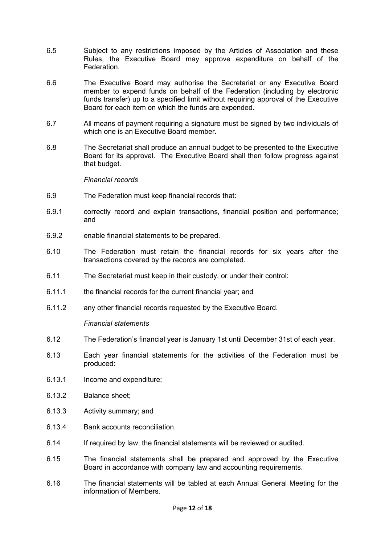- 6.5 Subject to any restrictions imposed by the Articles of Association and these Rules, the Executive Board may approve expenditure on behalf of the Federation.
- 6.6 The Executive Board may authorise the Secretariat or any Executive Board member to expend funds on behalf of the Federation (including by electronic funds transfer) up to a specified limit without requiring approval of the Executive Board for each item on which the funds are expended.
- 6.7 All means of payment requiring a signature must be signed by two individuals of which one is an Executive Board member.
- 6.8 The Secretariat shall produce an annual budget to be presented to the Executive Board for its approval. The Executive Board shall then follow progress against that budget.

#### *Financial records*

- 6.9 The Federation must keep financial records that:
- 6.9.1 correctly record and explain transactions, financial position and performance; and
- 6.9.2 enable financial statements to be prepared.
- 6.10 The Federation must retain the financial records for six years after the transactions covered by the records are completed.
- 6.11 The Secretariat must keep in their custody, or under their control:
- 6.11.1 the financial records for the current financial year; and
- 6.11.2 any other financial records requested by the Executive Board.

#### *Financial statements*

- 6.12 The Federation's financial year is January 1st until December 31st of each year.
- 6.13 Each year financial statements for the activities of the Federation must be produced:
- 6.13.1 Income and expenditure;
- 6.13.2 Balance sheet;
- 6.13.3 Activity summary; and
- 6.13.4 Bank accounts reconciliation.
- 6.14 If required by law, the financial statements will be reviewed or audited.
- 6.15 The financial statements shall be prepared and approved by the Executive Board in accordance with company law and accounting requirements.
- 6.16 The financial statements will be tabled at each Annual General Meeting for the information of Members.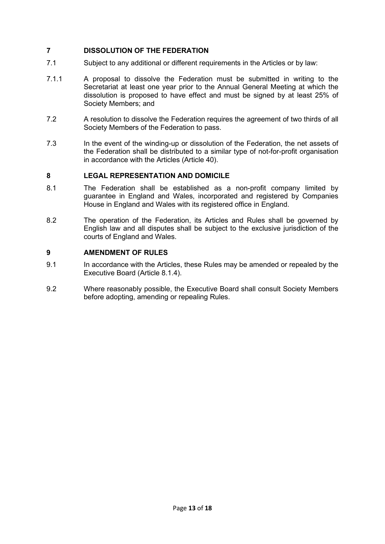# <span id="page-12-0"></span>**7 DISSOLUTION OF THE FEDERATION**

- 7.1 Subject to any additional or different requirements in the Articles or by law:
- 7.1.1 A proposal to dissolve the Federation must be submitted in writing to the Secretariat at least one year prior to the Annual General Meeting at which the dissolution is proposed to have effect and must be signed by at least 25% of Society Members; and
- 7.2 A resolution to dissolve the Federation requires the agreement of two thirds of all Society Members of the Federation to pass.
- 7.3 In the event of the winding-up or dissolution of the Federation, the net assets of the Federation shall be distributed to a similar type of not-for-profit organisation in accordance with the Articles (Article 40).

# <span id="page-12-1"></span>**8 LEGAL REPRESENTATION AND DOMICILE**

- 8.1 The Federation shall be established as a non-profit company limited by guarantee in England and Wales, incorporated and registered by Companies House in England and Wales with its registered office in England.
- 8.2 The operation of the Federation, its Articles and Rules shall be governed by English law and all disputes shall be subject to the exclusive jurisdiction of the courts of England and Wales.

# <span id="page-12-2"></span>**9 AMENDMENT OF RULES**

- 9.1 In accordance with the Articles, these Rules may be amended or repealed by the Executive Board (Article 8.1.4).
- 9.2 Where reasonably possible, the Executive Board shall consult Society Members before adopting, amending or repealing Rules.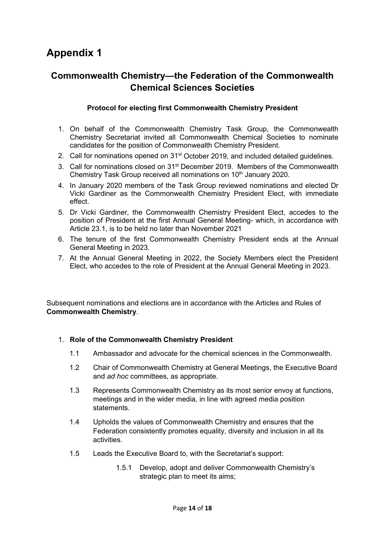# **Appendix 1**

# **Commonwealth Chemistry—the Federation of the Commonwealth Chemical Sciences Societies**

# **Protocol for electing first Commonwealth Chemistry President**

- 1. On behalf of the Commonwealth Chemistry Task Group, the Commonwealth Chemistry Secretariat invited all Commonwealth Chemical Societies to nominate candidates for the position of Commonwealth Chemistry President.
- 2. Call for nominations opened on 31<sup>st</sup> October 2019, and included detailed quidelines.
- 3. Call for nominations closed on 31st December 2019. Members of the Commonwealth Chemistry Task Group received all nominations on 10<sup>th</sup> January 2020.
- 4. In January 2020 members of the Task Group reviewed nominations and elected Dr Vicki Gardiner as the Commonwealth Chemistry President Elect, with immediate effect.
- 5. Dr Vicki Gardiner, the Commonwealth Chemistry President Elect, accedes to the position of President at the first Annual General Meeting- which, in accordance with Article 23.1, is to be held no later than November 2021
- 6. The tenure of the first Commonwealth Chemistry President ends at the Annual General Meeting in 2023.
- 7. At the Annual General Meeting in 2022, the Society Members elect the President Elect, who accedes to the role of President at the Annual General Meeting in 2023.

Subsequent nominations and elections are in accordance with the Articles and Rules of **Commonwealth Chemistry**.

# 1. **Role of the Commonwealth Chemistry President**

- 1.1 Ambassador and advocate for the chemical sciences in the Commonwealth.
- 1.2 Chair of Commonwealth Chemistry at General Meetings, the Executive Board and *ad hoc* committees, as appropriate.
- 1.3 Represents Commonwealth Chemistry as its most senior envoy at functions, meetings and in the wider media, in line with agreed media position statements.
- 1.4 Upholds the values of Commonwealth Chemistry and ensures that the Federation consistently promotes equality, diversity and inclusion in all its activities.
- 1.5 Leads the Executive Board to, with the Secretariat's support:
	- 1.5.1 Develop, adopt and deliver Commonwealth Chemistry's strategic plan to meet its aims;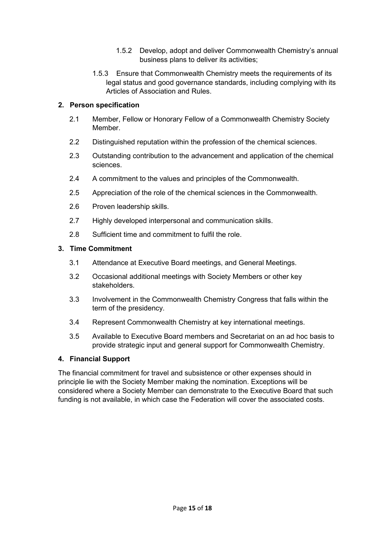- 1.5.2 Develop, adopt and deliver Commonwealth Chemistry's annual business plans to deliver its activities;
- 1.5.3 Ensure that Commonwealth Chemistry meets the requirements of its legal status and good governance standards, including complying with its Articles of Association and Rules.

# **2. Person specification**

- 2.1 Member, Fellow or Honorary Fellow of a Commonwealth Chemistry Society **Member**
- 2.2 Distinguished reputation within the profession of the chemical sciences.
- 2.3 Outstanding contribution to the advancement and application of the chemical sciences.
- 2.4 A commitment to the values and principles of the Commonwealth.
- 2.5 Appreciation of the role of the chemical sciences in the Commonwealth.
- 2.6 Proven leadership skills.
- 2.7 Highly developed interpersonal and communication skills.
- 2.8 Sufficient time and commitment to fulfil the role.

# **3. Time Commitment**

- 3.1 Attendance at Executive Board meetings, and General Meetings.
- 3.2 Occasional additional meetings with Society Members or other key stakeholders.
- 3.3 Involvement in the Commonwealth Chemistry Congress that falls within the term of the presidency.
- 3.4 Represent Commonwealth Chemistry at key international meetings.
- 3.5 Available to Executive Board members and Secretariat on an ad hoc basis to provide strategic input and general support for Commonwealth Chemistry.

# **4. Financial Support**

The financial commitment for travel and subsistence or other expenses should in principle lie with the Society Member making the nomination. Exceptions will be considered where a Society Member can demonstrate to the Executive Board that such funding is not available, in which case the Federation will cover the associated costs.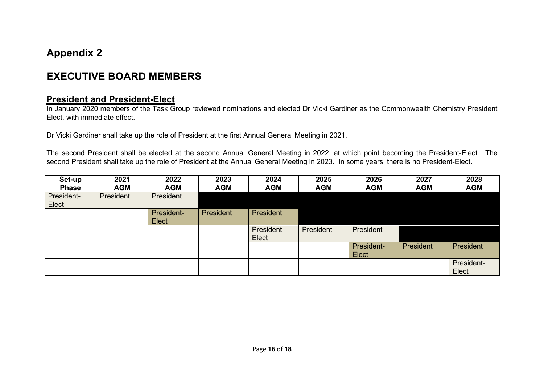# **Appendix 2**

# **EXECUTIVE BOARD MEMBERS**

# **President and President-Elect**

In January 2020 members of the Task Group reviewed nominations and elected Dr Vicki Gardiner as the Commonwealth Chemistry President Elect, with immediate effect.

Dr Vicki Gardiner shall take up the role of President at the first Annual General Meeting in 2021.

The second President shall be elected at the second Annual General Meeting in 2022, at which point becoming the President-Elect. The second President shall take up the role of President at the Annual General Meeting in 2023. In some years, there is no President-Elect.

| Set-up<br><b>Phase</b> | 2021<br><b>AGM</b> | 2022<br><b>AGM</b>         | 2023<br><b>AGM</b> | 2024<br><b>AGM</b>  | 2025<br><b>AGM</b> | 2026<br><b>AGM</b>  | 2027<br><b>AGM</b> | 2028<br><b>AGM</b>  |
|------------------------|--------------------|----------------------------|--------------------|---------------------|--------------------|---------------------|--------------------|---------------------|
| President-<br>Elect    | President          | President                  |                    |                     |                    |                     |                    |                     |
|                        |                    | President-<br><b>Elect</b> | President          | <b>President</b>    |                    |                     |                    |                     |
|                        |                    |                            |                    | President-<br>Elect | President          | President           |                    |                     |
|                        |                    |                            |                    |                     |                    | President-<br>Elect | President          | President           |
|                        |                    |                            |                    |                     |                    |                     |                    | President-<br>Elect |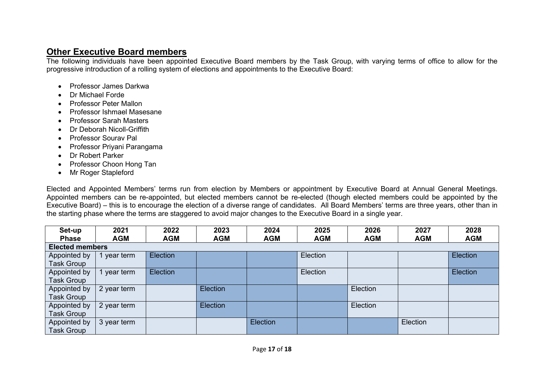# **Other Executive Board members**

The following individuals have been appointed Executive Board members by the Task Group, with varying terms of office to allow for the progressive introduction of a rolling system of elections and appointments to the Executive Board:

- Professor James Darkwa
- Dr Michael Forde
- Professor Peter Mallon
- Professor Ishmael Masesane
- Professor Sarah Masters
- Dr Deborah Nicoll-Griffith
- Professor Sourav Pal
- Professor Priyani Parangama
- Dr Robert Parker
- Professor Choon Hong Tan
- Mr Roger Stapleford

Elected and Appointed Members' terms run from election by Members or appointment by Executive Board at Annual General Meetings. Appointed members can be re-appointed, but elected members cannot be re-elected (though elected members could be appointed by the Executive Board) – this is to encourage the election of a diverse range of candidates. All Board Members' terms are three years, other than in the starting phase where the terms are staggered to avoid major changes to the Executive Board in a single year.

| Set-up                 | 2021        | 2022            | 2023       | 2024       | 2025       | 2026       | 2027       | 2028       |  |  |
|------------------------|-------------|-----------------|------------|------------|------------|------------|------------|------------|--|--|
| <b>Phase</b>           | <b>AGM</b>  | <b>AGM</b>      | <b>AGM</b> | <b>AGM</b> | <b>AGM</b> | <b>AGM</b> | <b>AGM</b> | <b>AGM</b> |  |  |
| <b>Elected members</b> |             |                 |            |            |            |            |            |            |  |  |
| Appointed by           | year term   | <b>Election</b> |            |            | Election   |            |            | Election   |  |  |
| Task Group             |             |                 |            |            |            |            |            |            |  |  |
| Appointed by           | 1 year term | <b>Election</b> |            |            | Election   |            |            | Election   |  |  |
| Task Group             |             |                 |            |            |            |            |            |            |  |  |
| Appointed by           | 2 year term |                 | Election   |            |            | Election   |            |            |  |  |
| Task Group             |             |                 |            |            |            |            |            |            |  |  |
| Appointed by           | 2 year term |                 | Election   |            |            | Election   |            |            |  |  |
| <b>Task Group</b>      |             |                 |            |            |            |            |            |            |  |  |
| Appointed by           | 3 year term |                 |            | Election   |            |            | Election   |            |  |  |
| <b>Task Group</b>      |             |                 |            |            |            |            |            |            |  |  |